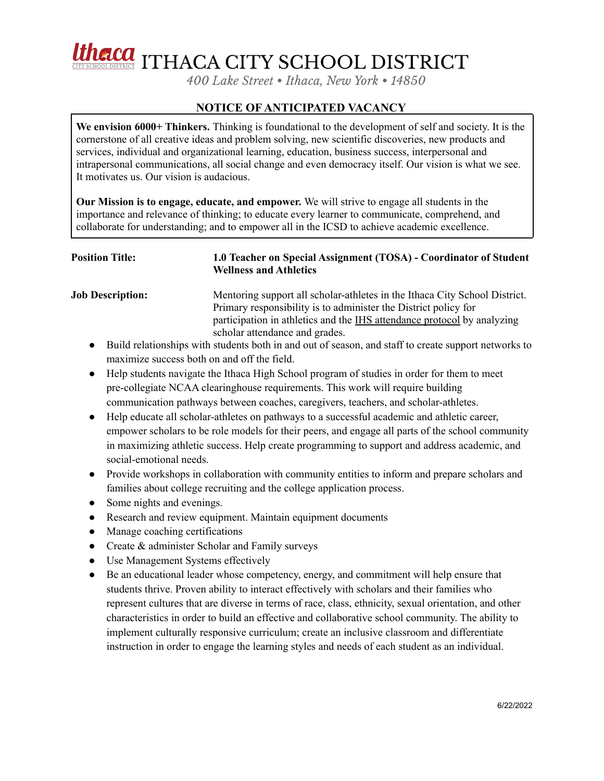# Utherca ITHACA CITY SCHOOL DISTRICT

*400 Lake Street • Ithaca, New York • 14850*

# **NOTICE OF ANTICIPATED VACANCY**

**We envision 6000+ Thinkers.** Thinking is foundational to the development of self and society. It is the cornerstone of all creative ideas and problem solving, new scientific discoveries, new products and services, individual and organizational learning, education, business success, interpersonal and intrapersonal communications, all social change and even democracy itself. Our vision is what we see. It motivates us. Our vision is audacious.

**Our Mission is to engage, educate, and empower.** We will strive to engage all students in the importance and relevance of thinking; to educate every learner to communicate, comprehend, and collaborate for understanding; and to empower all in the ICSD to achieve academic excellence.

## **Position Title: 1.0 Teacher on Special Assignment (TOSA) - Coordinator of Student Wellness and Athletics**

**Job Description:** Mentoring support all scholar-athletes in the Ithaca City School District. Primary responsibility is to administer the District policy for participation in athletics and the IHS attendance protocol by analyzing scholar attendance and grades.

- Build relationships with students both in and out of season, and staff to create support networks to maximize success both on and off the field.
- Help students navigate the Ithaca High School program of studies in order for them to meet pre-collegiate NCAA clearinghouse requirements. This work will require building communication pathways between coaches, caregivers, teachers, and scholar-athletes.
- Help educate all scholar-athletes on pathways to a successful academic and athletic career, empower scholars to be role models for their peers, and engage all parts of the school community in maximizing athletic success. Help create programming to support and address academic, and social-emotional needs.
- Provide workshops in collaboration with community entities to inform and prepare scholars and families about college recruiting and the college application process.
- Some nights and evenings.
- Research and review equipment. Maintain equipment documents
- Manage coaching certifications
- Create & administer Scholar and Family surveys
- Use Management Systems effectively
- Be an educational leader whose competency, energy, and commitment will help ensure that students thrive. Proven ability to interact effectively with scholars and their families who represent cultures that are diverse in terms of race, class, ethnicity, sexual orientation, and other characteristics in order to build an effective and collaborative school community. The ability to implement culturally responsive curriculum; create an inclusive classroom and differentiate instruction in order to engage the learning styles and needs of each student as an individual.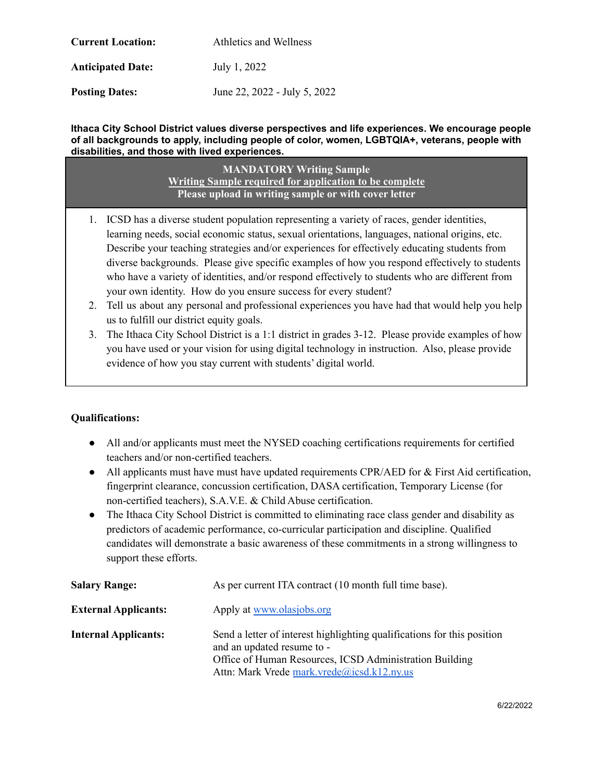| <b>Current Location:</b> | Athletics and Wellness       |
|--------------------------|------------------------------|
| <b>Anticipated Date:</b> | July 1, 2022                 |
| <b>Posting Dates:</b>    | June 22, 2022 - July 5, 2022 |

### **Ithaca City School District values diverse perspectives and life experiences. We encourage people of all backgrounds to apply, including people of color, women, LGBTQIA+, veterans, people with disabilities, and those with lived experiences.**

**MANDATORY Writing Sample Writing Sample required for application to be complete Please upload in writing sample or with cover letter**

- 1. ICSD has a diverse student population representing a variety of races, gender identities, learning needs, social economic status, sexual orientations, languages, national origins, etc. Describe your teaching strategies and/or experiences for effectively educating students from diverse backgrounds. Please give specific examples of how you respond effectively to students who have a variety of identities, and/or respond effectively to students who are different from your own identity. How do you ensure success for every student?
- 2. Tell us about any personal and professional experiences you have had that would help you help us to fulfill our district equity goals.
- 3. The Ithaca City School District is a 1:1 district in grades 3-12. Please provide examples of how you have used or your vision for using digital technology in instruction. Also, please provide evidence of how you stay current with students' digital world.

### **Qualifications:**

- All and/or applicants must meet the NYSED coaching certifications requirements for certified teachers and/or non-certified teachers.
- All applicants must have must have updated requirements CPR/AED for & First Aid certification, fingerprint clearance, concussion certification, DASA certification, Temporary License (for non-certified teachers), S.A.V.E. & Child Abuse certification.
- The Ithaca City School District is committed to eliminating race class gender and disability as predictors of academic performance, co-curricular participation and discipline. Qualified candidates will demonstrate a basic awareness of these commitments in a strong willingness to support these efforts.

| <b>Salary Range:</b>        | As per current ITA contract (10 month full time base).                                                                                                                                                         |
|-----------------------------|----------------------------------------------------------------------------------------------------------------------------------------------------------------------------------------------------------------|
| <b>External Applicants:</b> | Apply at www.olasjobs.org                                                                                                                                                                                      |
| <b>Internal Applicants:</b> | Send a letter of interest highlighting qualifications for this position<br>and an updated resume to -<br>Office of Human Resources, ICSD Administration Building<br>Attn: Mark Vrede mark.vrede@icsd.k12.ny.us |